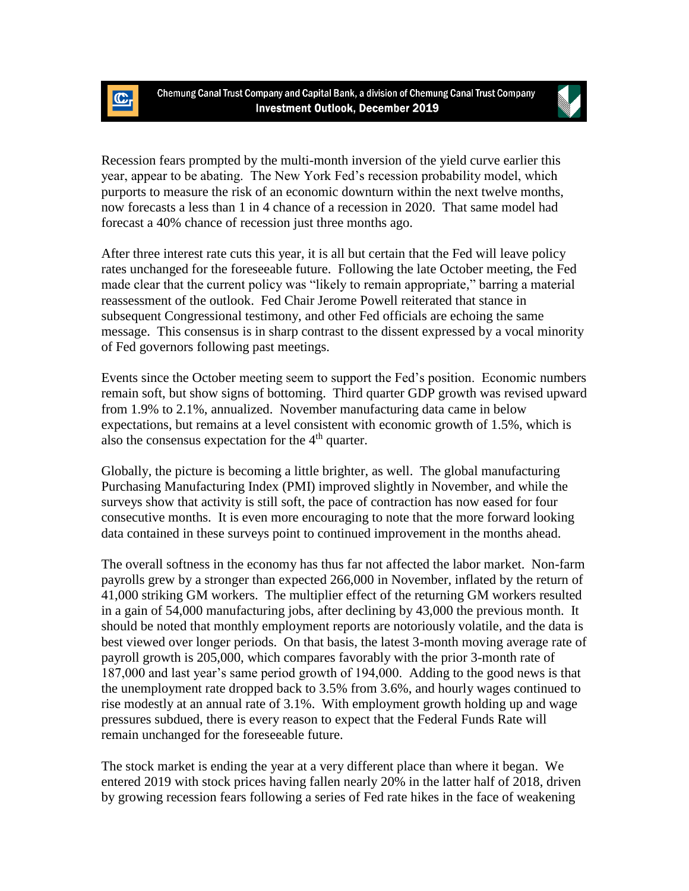

 $\mathbb{C}$ 



Recession fears prompted by the multi-month inversion of the yield curve earlier this year, appear to be abating. The New York Fed's recession probability model, which purports to measure the risk of an economic downturn within the next twelve months, now forecasts a less than 1 in 4 chance of a recession in 2020. That same model had forecast a 40% chance of recession just three months ago.

After three interest rate cuts this year, it is all but certain that the Fed will leave policy rates unchanged for the foreseeable future. Following the late October meeting, the Fed made clear that the current policy was "likely to remain appropriate," barring a material reassessment of the outlook. Fed Chair Jerome Powell reiterated that stance in subsequent Congressional testimony, and other Fed officials are echoing the same message. This consensus is in sharp contrast to the dissent expressed by a vocal minority of Fed governors following past meetings.

Events since the October meeting seem to support the Fed's position. Economic numbers remain soft, but show signs of bottoming. Third quarter GDP growth was revised upward from 1.9% to 2.1%, annualized. November manufacturing data came in below expectations, but remains at a level consistent with economic growth of 1.5%, which is also the consensus expectation for the  $4<sup>th</sup>$  quarter.

Globally, the picture is becoming a little brighter, as well. The global manufacturing Purchasing Manufacturing Index (PMI) improved slightly in November, and while the surveys show that activity is still soft, the pace of contraction has now eased for four consecutive months. It is even more encouraging to note that the more forward looking data contained in these surveys point to continued improvement in the months ahead.

The overall softness in the economy has thus far not affected the labor market. Non-farm payrolls grew by a stronger than expected 266,000 in November, inflated by the return of 41,000 striking GM workers. The multiplier effect of the returning GM workers resulted in a gain of 54,000 manufacturing jobs, after declining by 43,000 the previous month. It should be noted that monthly employment reports are notoriously volatile, and the data is best viewed over longer periods. On that basis, the latest 3-month moving average rate of payroll growth is 205,000, which compares favorably with the prior 3-month rate of 187,000 and last year's same period growth of 194,000. Adding to the good news is that the unemployment rate dropped back to 3.5% from 3.6%, and hourly wages continued to rise modestly at an annual rate of 3.1%. With employment growth holding up and wage pressures subdued, there is every reason to expect that the Federal Funds Rate will remain unchanged for the foreseeable future.

The stock market is ending the year at a very different place than where it began. We entered 2019 with stock prices having fallen nearly 20% in the latter half of 2018, driven by growing recession fears following a series of Fed rate hikes in the face of weakening